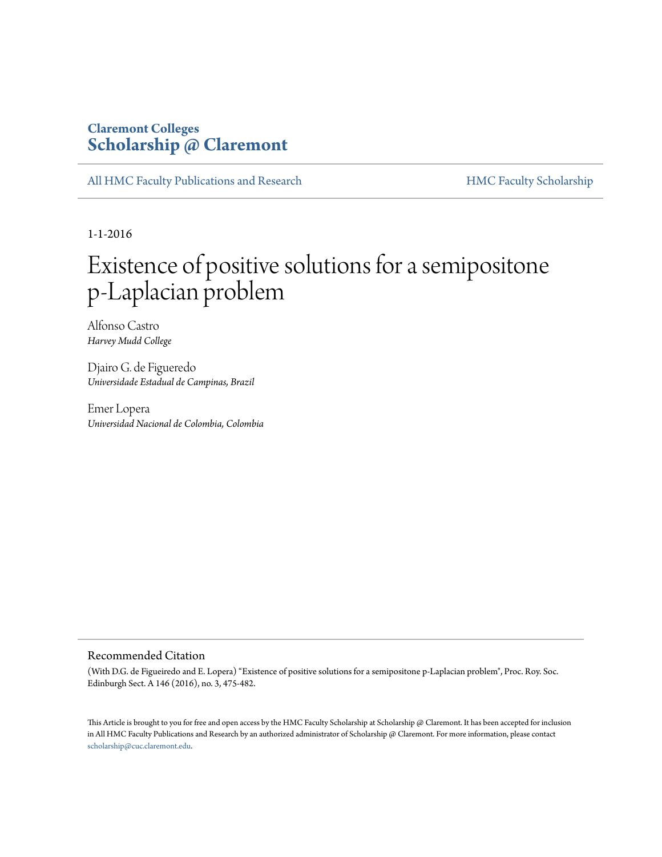# **Claremont Colleges [Scholarship @ Claremont](http://scholarship.claremont.edu)**

[All HMC Faculty Publications and Research](http://scholarship.claremont.edu/hmc_fac_pub) [HMC Faculty Scholarship](http://scholarship.claremont.edu/hmc_faculty)

1-1-2016

# Existence of positive solutions for a semipositone p-Laplacian problem

Alfonso Castro *Harvey Mudd College*

Djairo G. de Figueredo *Universidade Estadual de Campinas, Brazil*

Emer Lopera *Universidad Nacional de Colombia, Colombia*

# Recommended Citation

(With D.G. de Figueiredo and E. Lopera) "Existence of positive solutions for a semipositone p-Laplacian problem", Proc. Roy. Soc. Edinburgh Sect. A 146 (2016), no. 3, 475-482.

This Article is brought to you for free and open access by the HMC Faculty Scholarship at Scholarship @ Claremont. It has been accepted for inclusion in All HMC Faculty Publications and Research by an authorized administrator of Scholarship @ Claremont. For more information, please contact [scholarship@cuc.claremont.edu.](mailto:scholarship@cuc.claremont.edu)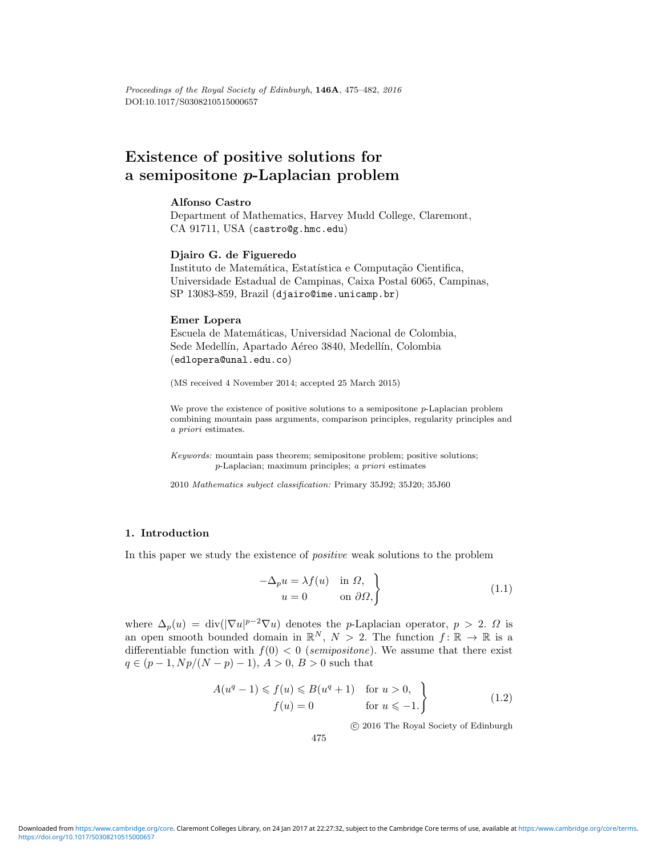# **Existence of positive solutions for a semipositone** *p***-Laplacian problem**

## **Alfonso Castro**

Department of Mathematics, Harvey Mudd College, Claremont, CA 91711, USA (castro@g.hmc.edu)

#### **Djairo G. de Figueredo**

Instituto de Matemática, Estatística e Computação Cientifica, Universidade Estadual de Campinas, Caixa Postal 6065, Campinas, SP 13083-859, Brazil (djairo@ime.unicamp.br)

#### **Emer Lopera**

Escuela de Matemáticas, Universidad Nacional de Colombia, Sede Medellín, Apartado Aéreo 3840, Medellín, Colombia (edlopera@unal.edu.co)

(MS received 4 November 2014; accepted 25 March 2015)

We prove the existence of positive solutions to a semipositone p-Laplacian problem combining mountain pass arguments, comparison principles, regularity principles and a priori estimates.

Keywords: mountain pass theorem; semipositone problem; positive solutions; p-Laplacian; maximum principles; a priori estimates

2010 Mathematics subject classification: Primary 35J92; 35J20; 35J60

## **1. Introduction**

In this paper we study the existence of positive weak solutions to the problem

$$
-\Delta_p u = \lambda f(u) \quad \text{in } \Omega, u = 0 \qquad \text{on } \partial \Omega,
$$
\n(1.1)

where  $\Delta_p(u) = \text{div}(|\nabla u|^{p-2}\nabla u)$  denotes the *p*-Laplacian operator,  $p > 2$ .  $\Omega$  is an open smooth bounded domain in  $\mathbb{R}^N$ ,  $N > 2$ . The function  $f: \mathbb{R} \to \mathbb{R}$  is a differentiable function with  $f(0) < 0$  (semipositone). We assume that there exist  $q \in (p-1, Np/(N-p)-1), A > 0, B > 0$  such that

$$
A(uq - 1) \leq f(u) \leq B(uq + 1) \quad \text{for } u > 0,
$$
  
\n
$$
f(u) = 0 \qquad \text{for } u \leq -1.
$$
 (1.2)

c 2016 The Royal Society of Edinburgh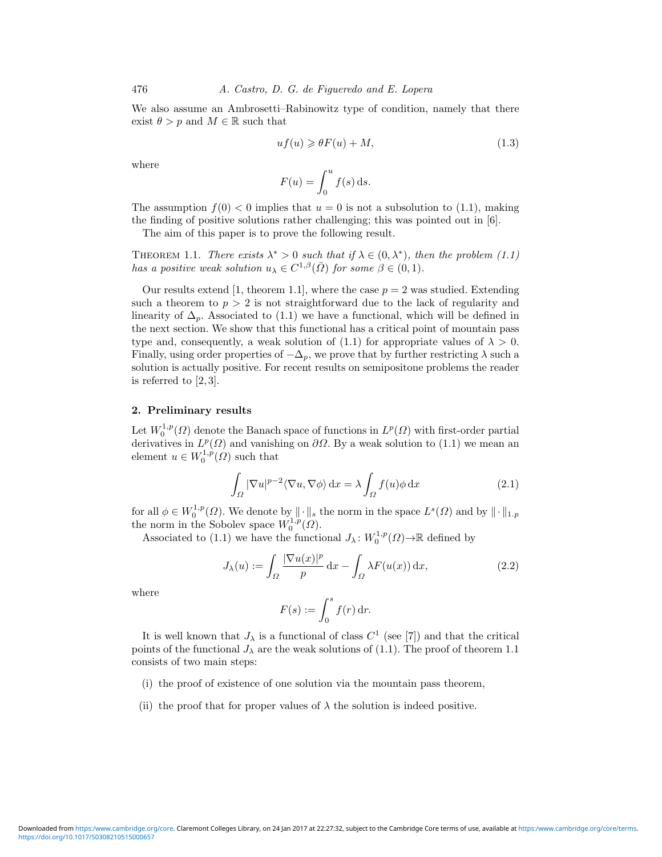We also assume an Ambrosetti–Rabinowitz type of condition, namely that there exist  $\theta > p$  and  $M \in \mathbb{R}$  such that

$$
uf(u) \geqslant \theta F(u) + M,\tag{1.3}
$$

where

$$
F(u) = \int_0^u f(s) \, \mathrm{d} s.
$$

The assumption  $f(0) < 0$  implies that  $u = 0$  is not a subsolution to (1.1), making the finding of positive solutions rather challenging; this was pointed out in [6].

The aim of this paper is to prove the following result.

THEOREM 1.1. There exists  $\lambda^* > 0$  such that if  $\lambda \in (0, \lambda^*)$ , then the problem (1.1) has a positive weak solution  $u_{\lambda} \in C^{1,\beta}(\overline{\Omega})$  for some  $\beta \in (0,1)$ .

Our results extend [1, theorem 1.1], where the case  $p = 2$  was studied. Extending such a theorem to  $p > 2$  is not straightforward due to the lack of regularity and linearity of  $\Delta_p$ . Associated to (1.1) we have a functional, which will be defined in the next section. We show that this functional has a critical point of mountain pass type and, consequently, a weak solution of (1.1) for appropriate values of  $\lambda > 0$ . Finally, using order properties of  $-\Delta_p$ , we prove that by further restricting  $\lambda$  such a solution is actually positive. For recent results on semipositone problems the reader is referred to  $[2,3]$ .

# **2. Preliminary results**

Let  $W_0^{1,p}(\Omega)$  denote the Banach space of functions in  $L^p(\Omega)$  with first-order partial derivatives in  $L^p(\Omega)$  and vanishing on  $\partial\Omega$ . By a weak solution to (1.1) we mean an element  $u \in W_0^{1,p}(\Omega)$  such that

$$
\int_{\Omega} |\nabla u|^{p-2} \langle \nabla u, \nabla \phi \rangle \, \mathrm{d}x = \lambda \int_{\Omega} f(u) \phi \, \mathrm{d}x \tag{2.1}
$$

for all  $\phi \in W_0^{1,p}(\Omega)$ . We denote by  $\|\cdot\|_s$  the norm in the space  $L^s(\Omega)$  and by  $\|\cdot\|_{1,p}$ the norm in the Sobolev space  $W_0^{1,p}(\Omega)$ .

Associated to (1.1) we have the functional  $J_{\lambda}: W_0^{1,p}(\Omega) \to \mathbb{R}$  defined by

$$
J_{\lambda}(u) := \int_{\Omega} \frac{|\nabla u(x)|^p}{p} dx - \int_{\Omega} \lambda F(u(x)) dx,
$$
 (2.2)

where

$$
F(s) := \int_0^s f(r) \, \mathrm{d}r.
$$

It is well known that  $J_{\lambda}$  is a functional of class  $C^{1}$  (see [7]) and that the critical points of the functional  $J_{\lambda}$  are the weak solutions of (1.1). The proof of theorem 1.1 consists of two main steps:

- (i) the proof of existence of one solution via the mountain pass theorem,
- (ii) the proof that for proper values of  $\lambda$  the solution is indeed positive.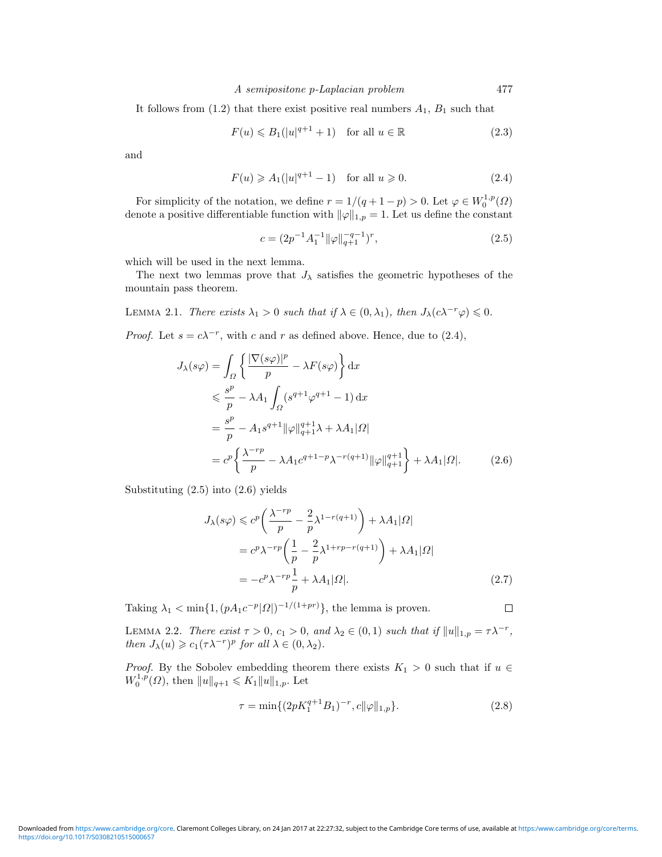#### A semipositone p-Laplacian problem 477

It follows from  $(1.2)$  that there exist positive real numbers  $A_1$ ,  $B_1$  such that

$$
F(u) \le B_1(|u|^{q+1} + 1) \quad \text{for all } u \in \mathbb{R}
$$
 (2.3)

and

$$
F(u) \geqslant A_1(|u|^{q+1} - 1) \quad \text{for all } u \geqslant 0. \tag{2.4}
$$

For simplicity of the notation, we define  $r = 1/(q + 1 - p) > 0$ . Let  $\varphi \in W_0^{1,p}(\Omega)$ denote a positive differentiable function with  $\|\varphi\|_{1,p} = 1$ . Let us define the constant

$$
c = (2p^{-1}A_1^{-1} \|\varphi\|_{q+1}^{-q-1})^r,\tag{2.5}
$$

which will be used in the next lemma.

The next two lemmas prove that  $J_{\lambda}$  satisfies the geometric hypotheses of the mountain pass theorem.

LEMMA 2.1. There exists  $\lambda_1 > 0$  such that if  $\lambda \in (0, \lambda_1)$ , then  $J_{\lambda}(c \lambda^{-r} \varphi) \leq 0$ .

*Proof.* Let  $s = c\lambda^{-r}$ , with c and r as defined above. Hence, due to (2.4),

$$
J_{\lambda}(s\varphi) = \int_{\Omega} \left\{ \frac{|\nabla(s\varphi)|^p}{p} - \lambda F(s\varphi) \right\} dx
$$
  
\n
$$
\leq \frac{s^p}{p} - \lambda A_1 \int_{\Omega} (s^{q+1}\varphi^{q+1} - 1) dx
$$
  
\n
$$
= \frac{s^p}{p} - A_1 s^{q+1} ||\varphi||_{q+1}^{q+1} \lambda + \lambda A_1 |\Omega|
$$
  
\n
$$
= c^p \left\{ \frac{\lambda^{-rp}}{p} - \lambda A_1 c^{q+1-p} \lambda^{-r(q+1)} ||\varphi||_{q+1}^{q+1} \right\} + \lambda A_1 |\Omega|.
$$
 (2.6)

Substituting (2.5) into (2.6) yields

$$
J_{\lambda}(s\varphi) \leq c^{p} \left( \frac{\lambda^{-rp}}{p} - \frac{2}{p} \lambda^{1-r(q+1)} \right) + \lambda A_{1} |\Omega|
$$
  
=  $c^{p} \lambda^{-rp} \left( \frac{1}{p} - \frac{2}{p} \lambda^{1+rp-r(q+1)} \right) + \lambda A_{1} |\Omega|$   
=  $-c^{p} \lambda^{-rp} \frac{1}{p} + \lambda A_{1} |\Omega|.$  (2.7)

Taking  $\lambda_1 < \min\{1, (pA_1c^{-p}|\Omega|)^{-1/(1+pr)}\}$ , the lemma is proven.

LEMMA 2.2. There exist  $\tau > 0$ ,  $c_1 > 0$ , and  $\lambda_2 \in (0,1)$  such that if  $||u||_{1,p} = \tau \lambda^{-r}$ , then  $J_{\lambda}(u) \geqslant c_1(\tau \lambda^{-r})^p$  for all  $\lambda \in (0, \lambda_2)$ .

*Proof.* By the Sobolev embedding theorem there exists  $K_1 > 0$  such that if  $u \in$  $W_0^{1,p}(\Omega)$ , then  $||u||_{q+1} \leqslant K_1 ||u||_{1,p}$ . Let

$$
\tau = \min\{ (2pK_1^{q+1}B_1)^{-r}, c\|\varphi\|_{1,p} \}.
$$
\n(2.8)

 $\Box$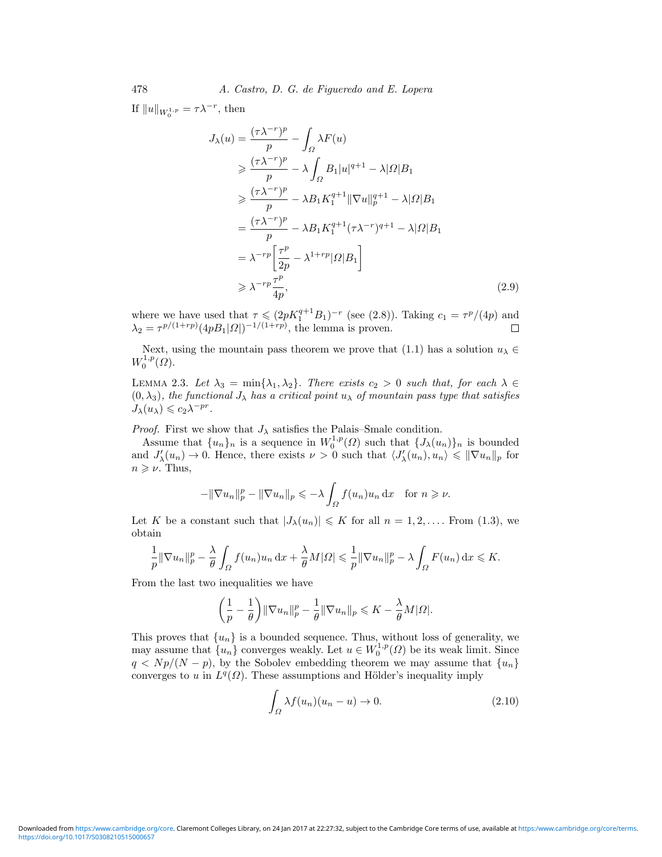If  $||u||_{W_0^{1,p}} = \tau \lambda^{-r}$ , then

$$
J_{\lambda}(u) = \frac{(\tau \lambda^{-r})^p}{p} - \int_{\Omega} \lambda F(u)
$$
  
\n
$$
\geq \frac{(\tau \lambda^{-r})^p}{p} - \lambda \int_{\Omega} B_1 |u|^{q+1} - \lambda |\Omega| B_1
$$
  
\n
$$
\geq \frac{(\tau \lambda^{-r})^p}{p} - \lambda B_1 K_1^{q+1} ||\nabla u||_p^{q+1} - \lambda |\Omega| B_1
$$
  
\n
$$
= \frac{(\tau \lambda^{-r})^p}{p} - \lambda B_1 K_1^{q+1} (\tau \lambda^{-r})^{q+1} - \lambda |\Omega| B_1
$$
  
\n
$$
= \lambda^{-r p} \left[ \frac{\tau^p}{2p} - \lambda^{1+r p} |\Omega| B_1 \right]
$$
  
\n
$$
\geq \lambda^{-r p} \frac{\tau^p}{4p}, \tag{2.9}
$$

where we have used that  $\tau \leq (2pK_1^{q+1}B_1)^{-r}$  (see (2.8)). Taking  $c_1 = \tau^p/(4p)$  and  $\lambda_2 = \tau^{p/(1+rp)} (4p B_1 | \Omega|)^{-1/(1+rp)}$ , the lemma is proven.

Next, using the mountain pass theorem we prove that (1.1) has a solution  $u_{\lambda} \in$  $W_0^{1,p}(\Omega)$ .

LEMMA 2.3. Let  $\lambda_3 = \min{\lambda_1, \lambda_2}$ . There exists  $c_2 > 0$  such that, for each  $\lambda \in$  $(0, \lambda_3)$ , the functional  $J_\lambda$  has a critical point  $u_\lambda$  of mountain pass type that satisfies  $J_{\lambda}(u_{\lambda}) \leqslant c_2 \lambda^{-pr}.$ 

*Proof.* First we show that  $J_{\lambda}$  satisfies the Palais–Smale condition.

Assume that  $\{u_n\}_n$  is a sequence in  $W_0^{1,p}(\Omega)$  such that  $\{J_\lambda(u_n)\}_n$  is bounded and  $J'_{\lambda}(u_n) \to 0$ . Hence, there exists  $\nu > 0$  such that  $\langle J'_{\lambda}(u_n), u_n \rangle \leq \|\nabla u_n\|_p$  for  $n \geqslant \nu$ . Thus,

$$
-\|\nabla u_n\|_p^p - \|\nabla u_n\|_p \leqslant -\lambda \int_{\Omega} f(u_n)u_n \, \mathrm{d}x \quad \text{for } n \geqslant \nu.
$$

Let K be a constant such that  $|J_\lambda(u_n)| \leq K$  for all  $n = 1, 2, \ldots$ . From (1.3), we obtain

$$
\frac{1}{p} \|\nabla u_n\|_p^p - \frac{\lambda}{\theta} \int_{\Omega} f(u_n)u_n \,dx + \frac{\lambda}{\theta} M|\Omega| \leq \frac{1}{p} \|\nabla u_n\|_p^p - \lambda \int_{\Omega} F(u_n) \,dx \leq K.
$$

From the last two inequalities we have

$$
\left(\frac{1}{p} - \frac{1}{\theta}\right) \|\nabla u_n\|_p^p - \frac{1}{\theta} \|\nabla u_n\|_p \leqslant K - \frac{\lambda}{\theta} M|\Omega|.
$$

This proves that  ${u_n}$  is a bounded sequence. Thus, without loss of generality, we may assume that  $\{u_n\}$  converges weakly. Let  $u \in W_0^{1,p}(\Omega)$  be its weak limit. Since  $q \langle N_p/(N-p) \rangle$ , by the Sobolev embedding theorem we may assume that  $\{u_n\}$ converges to u in  $L^q(\Omega)$ . These assumptions and Hölder's inequality imply

$$
\int_{\Omega} \lambda f(u_n)(u_n - u) \to 0. \tag{2.10}
$$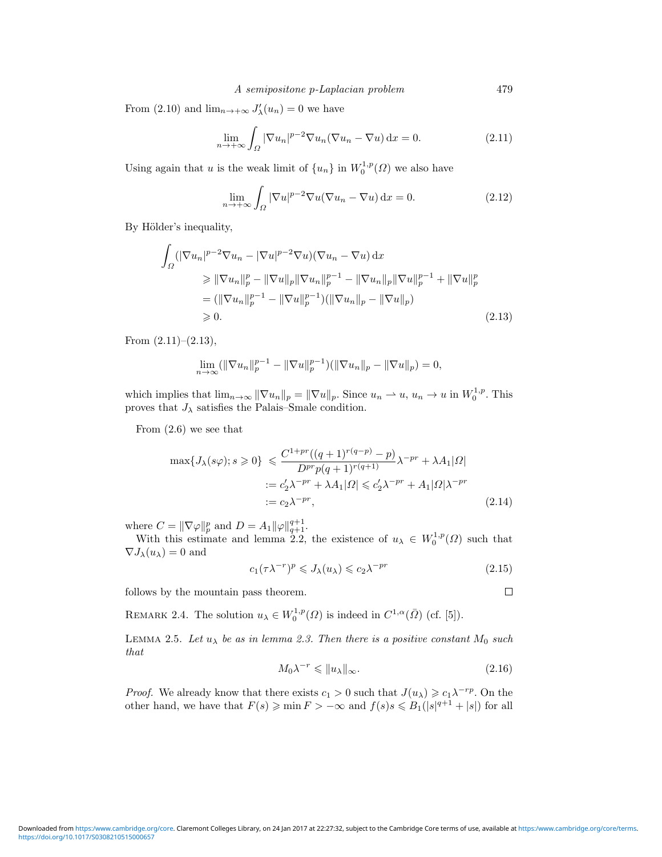From (2.10) and  $\lim_{n\to+\infty} J'_{\lambda}(u_n) = 0$  we have

$$
\lim_{n \to +\infty} \int_{\Omega} |\nabla u_n|^{p-2} \nabla u_n (\nabla u_n - \nabla u) \, \mathrm{d}x = 0. \tag{2.11}
$$

Using again that u is the weak limit of  $\{u_n\}$  in  $W_0^{1,p}(\Omega)$  we also have

$$
\lim_{n \to +\infty} \int_{\Omega} |\nabla u|^{p-2} \nabla u (\nabla u_n - \nabla u) \, \mathrm{d}x = 0. \tag{2.12}
$$

By Hölder's inequality,

$$
\int_{\Omega} (|\nabla u_n|^{p-2} \nabla u_n - |\nabla u|^{p-2} \nabla u)(\nabla u_n - \nabla u) \, dx
$$
\n
$$
\geq \|\nabla u_n\|_p^p - \|\nabla u\|_p \|\nabla u_n\|_p^{p-1} - \|\nabla u_n\|_p \|\nabla u\|_p^{p-1} + \|\nabla u\|_p^p
$$
\n
$$
= (\|\nabla u_n\|_p^{p-1} - \|\nabla u\|_p^{p-1})(\|\nabla u_n\|_p - \|\nabla u\|_p)
$$
\n
$$
\geq 0.
$$
\n(2.13)

From  $(2.11)–(2.13)$ ,

$$
\lim_{n \to \infty} (||\nabla u_n||_p^{p-1} - ||\nabla u||_p^{p-1})(||\nabla u_n||_p - ||\nabla u||_p) = 0,
$$

which implies that  $\lim_{n\to\infty} ||\nabla u_n||_p = ||\nabla u||_p$ . Since  $u_n \to u$ ,  $u_n \to u$  in  $W_0^{1,p}$ . This proves that  $J_{\lambda}$  satisfies the Palais–Smale condition.

From (2.6) we see that

$$
\max\{J_{\lambda}(s\varphi);s\geqslant 0\} \leqslant \frac{C^{1+pr}((q+1)^{r(q-p)}-p)}{Dr^{rp}(q+1)^{r(q+1)}}\lambda^{-pr} + \lambda A_1|\Omega|
$$
  
 :=  $c_2'\lambda^{-pr} + \lambda A_1|\Omega| \leqslant c_2'\lambda^{-pr} + A_1|\Omega|\lambda^{-pr}$   
 :=  $c_2\lambda^{-pr}$ , (2.14)

where  $C = ||\nabla \varphi||_p^p$  and  $D = A_1 ||\varphi||_{q+1}^{q+1}$ .

With this estimate and lemma 2.2, the existence of  $u_{\lambda} \in W_0^{1,p}(\Omega)$  such that  $\nabla J_{\lambda}(u_{\lambda}) = 0$  and

$$
c_1(\tau \lambda^{-r})^p \leqslant J_\lambda(u_\lambda) \leqslant c_2 \lambda^{-pr} \tag{2.15}
$$

follows by the mountain pass theorem.

REMARK 2.4. The solution  $u_{\lambda} \in W_0^{1,p}(\Omega)$  is indeed in  $C^{1,\alpha}(\overline{\Omega})$  (cf. [5]).

LEMMA 2.5. Let  $u_{\lambda}$  be as in lemma 2.3. Then there is a positive constant  $M_0$  such that

$$
M_0 \lambda^{-r} \leqslant \|u_\lambda\|_{\infty}.\tag{2.16}
$$

 $\Box$ 

*Proof.* We already know that there exists  $c_1 > 0$  such that  $J(u_\lambda) \geq c_1 \lambda^{-rp}$ . On the other hand, we have that  $F(s) \geqslant \min F > -\infty$  and  $f(s)s \leqslant B_1(|s|^{q+1} + |s|)$  for all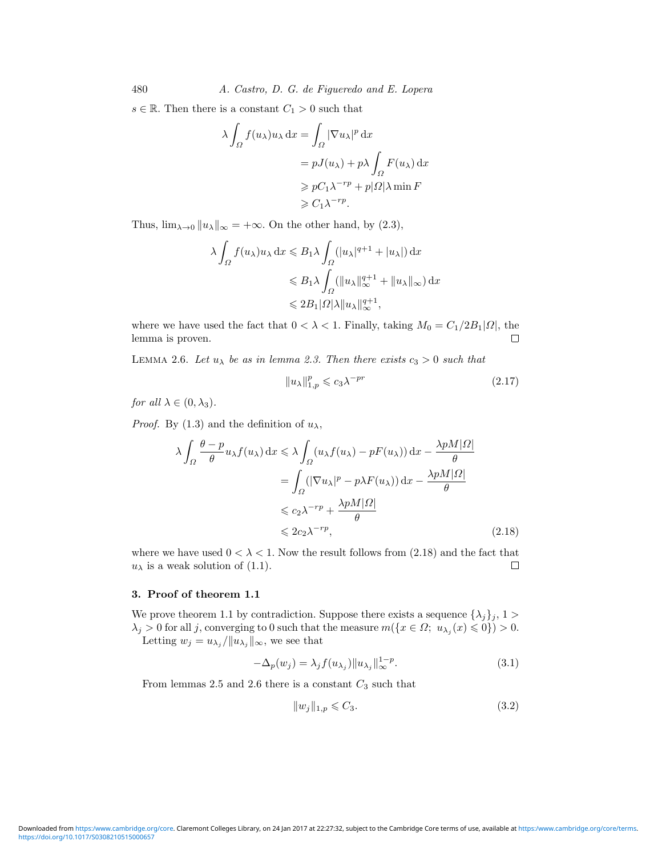480 A. Castro, D. G. de Figueredo and E. Lopera

 $s \in \mathbb{R}$ . Then there is a constant  $C_1 > 0$  such that

$$
\lambda \int_{\Omega} f(u_{\lambda}) u_{\lambda} dx = \int_{\Omega} |\nabla u_{\lambda}|^p dx
$$
  
=  $pJ(u_{\lambda}) + p\lambda \int_{\Omega} F(u_{\lambda}) dx$   
 $\geq pC_1 \lambda^{-rp} + p|\Omega| \lambda \min F$   
 $\geq C_1 \lambda^{-rp}.$ 

Thus,  $\lim_{\lambda\to 0} ||u_{\lambda}||_{\infty} = +\infty$ . On the other hand, by (2.3),

$$
\lambda \int_{\Omega} f(u_{\lambda}) u_{\lambda} dx \leq B_{1} \lambda \int_{\Omega} (|u_{\lambda}|^{q+1} + |u_{\lambda}|) dx
$$
  

$$
\leq B_{1} \lambda \int_{\Omega} (||u_{\lambda}||_{\infty}^{q+1} + ||u_{\lambda}||_{\infty}) dx
$$
  

$$
\leq 2B_{1} |\Omega| \lambda ||u_{\lambda}||_{\infty}^{q+1},
$$

where we have used the fact that  $0 < \lambda < 1$ . Finally, taking  $M_0 = C_1/2B_1|\Omega|$ , the lemma is proven.  $\Box$ 

LEMMA 2.6. Let  $u_{\lambda}$  be as in lemma 2.3. Then there exists  $c_3 > 0$  such that

$$
||u_{\lambda}||_{1,p}^p \leqslant c_3 \lambda^{-pr} \tag{2.17}
$$

for all  $\lambda \in (0, \lambda_3)$ .

*Proof.* By (1.3) and the definition of  $u_{\lambda}$ ,

$$
\lambda \int_{\Omega} \frac{\theta - p}{\theta} u_{\lambda} f(u_{\lambda}) dx \le \lambda \int_{\Omega} (u_{\lambda} f(u_{\lambda}) - pF(u_{\lambda})) dx - \frac{\lambda p M |\Omega|}{\theta}
$$
  
= 
$$
\int_{\Omega} (|\nabla u_{\lambda}|^p - p\lambda F(u_{\lambda})) dx - \frac{\lambda p M |\Omega|}{\theta}
$$
  

$$
\le c_2 \lambda^{-rp} + \frac{\lambda p M |\Omega|}{\theta}
$$
  

$$
\le 2c_2 \lambda^{-rp}, \qquad (2.18)
$$

where we have used  $0 < \lambda < 1$ . Now the result follows from (2.18) and the fact that  $u_{\lambda}$  is a weak solution of (1.1).  $\Box$ 

## **3. Proof of theorem 1.1**

We prove theorem 1.1 by contradiction. Suppose there exists a sequence  $\{\lambda_j\}_j, 1 >$  $\lambda_j > 0$  for all j, converging to 0 such that the measure  $m(\lbrace x \in \Omega; u_{\lambda_j}(x) \leq 0 \rbrace) > 0$ . Letting  $w_j = u_{\lambda_j}/\|u_{\lambda_j}\|_{\infty}$ , we see that

$$
-\Delta_p(w_j) = \lambda_j f(u_{\lambda_j}) \|u_{\lambda_j}\|_{\infty}^{1-p}.
$$
\n(3.1)

From lemmas 2.5 and 2.6 there is a constant  $C_3$  such that

$$
||w_j||_{1,p} \leqslant C_3. \tag{3.2}
$$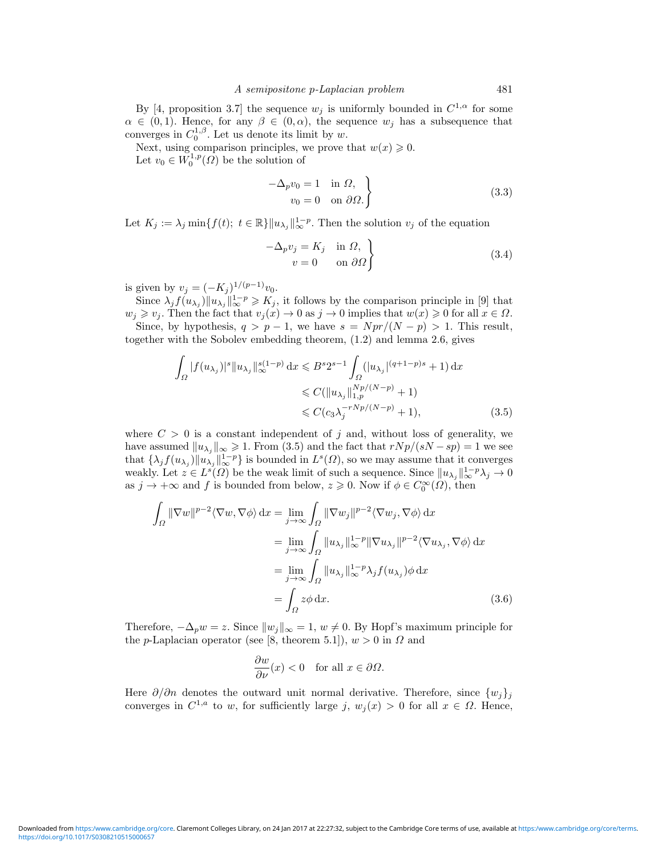By [4, proposition 3.7] the sequence  $w_j$  is uniformly bounded in  $C^{1,\alpha}$  for some  $\alpha \in (0,1)$ . Hence, for any  $\beta \in (0,\alpha)$ , the sequence  $w_i$  has a subsequence that converges in  $C_0^{1,\beta}$ . Let us denote its limit by w.

Next, using comparison principles, we prove that  $w(x) \geq 0$ .

Let  $v_0 \in W_0^{1,p}(\Omega)$  be the solution of

$$
-\Delta_p v_0 = 1 \quad \text{in } \Omega, v_0 = 0 \quad \text{on } \partial\Omega.
$$
\n(3.3)

Let  $K_j := \lambda_j \min\{f(t); t \in \mathbb{R}\} ||u_{\lambda_j}||_{\infty}^{1-p}$ . Then the solution  $v_j$  of the equation

$$
-\Delta_p v_j = K_j \quad \text{in } \Omega, \n v = 0 \quad \text{on } \partial \Omega
$$
\n(3.4)

is given by  $v_j = (-K_j)^{1/(p-1)}v_0$ .

Since  $\lambda_j f(u_{\lambda_j}) || u_{\lambda_j} ||_{\infty}^{1-p} \geqslant K_j$ , it follows by the comparison principle in [9] that  $w_j \geqslant v_j$ . Then the fact that  $v_j(x) \to 0$  as  $j \to 0$  implies that  $w(x) \geqslant 0$  for all  $x \in \Omega$ . Since, by hypothesis,  $q > p - 1$ , we have  $s = Npr/(N - p) > 1$ . This result,

together with the Sobolev embedding theorem, (1.2) and lemma 2.6, gives

$$
\int_{\Omega} |f(u_{\lambda_j})|^s \|u_{\lambda_j}\|_{\infty}^{s(1-p)} dx \leq B^s 2^{s-1} \int_{\Omega} (|u_{\lambda_j}|^{(q+1-p)s} + 1) dx
$$
  
\n
$$
\leq C(\|u_{\lambda_j}\|_{1,p}^{Np/(N-p)} + 1)
$$
  
\n
$$
\leq C(c_3 \lambda_j^{-rNp/(N-p)} + 1),
$$
\n(3.5)

where  $C > 0$  is a constant independent of j and, without loss of generality, we have assumed  $||u_{\lambda_j}||_{\infty} \geq 1$ . From (3.5) and the fact that  $rNp/(sN - sp) = 1$  we see that  $\{\lambda_j f(u_{\lambda_j}) \|u_{\lambda_j}\|_{\infty}^{1-p}\}$  is bounded in  $L^s(\Omega)$ , so we may assume that it converges weakly. Let  $z \in L^{s}(\Omega)$  be the weak limit of such a sequence. Since  $||u_{\lambda_{i}}||_{\infty}^{1-p} \lambda_{j} \to 0$ as  $j \to +\infty$  and f is bounded from below,  $z \geq 0$ . Now if  $\phi \in C_0^{\infty}(\Omega)$ , then

$$
\int_{\Omega} \|\nabla w\|^{p-2} \langle \nabla w, \nabla \phi \rangle \,dx = \lim_{j \to \infty} \int_{\Omega} \|\nabla w_{j}\|^{p-2} \langle \nabla w_{j}, \nabla \phi \rangle \,dx
$$
\n
$$
= \lim_{j \to \infty} \int_{\Omega} \|u_{\lambda_{j}}\|_{\infty}^{1-p} \|\nabla u_{\lambda_{j}}\|^{p-2} \langle \nabla u_{\lambda_{j}}, \nabla \phi \rangle \,dx
$$
\n
$$
= \lim_{j \to \infty} \int_{\Omega} \|u_{\lambda_{j}}\|_{\infty}^{1-p} \lambda_{j} f(u_{\lambda_{j}}) \phi \,dx
$$
\n
$$
= \int_{\Omega} z \phi \,dx. \tag{3.6}
$$

Therefore,  $-\Delta_p w = z$ . Since  $||w_i||_{\infty} = 1$ ,  $w \neq 0$ . By Hopf's maximum principle for the p-Laplacian operator (see [8, theorem 5.1]),  $w > 0$  in  $\Omega$  and

$$
\frac{\partial w}{\partial \nu}(x) < 0 \quad \text{for all } x \in \partial \Omega.
$$

Here  $\partial/\partial n$  denotes the outward unit normal derivative. Therefore, since  $\{w_i\}_i$ converges in  $C^{1,a}$  to w, for sufficiently large j,  $w_i(x) > 0$  for all  $x \in \Omega$ . Hence,